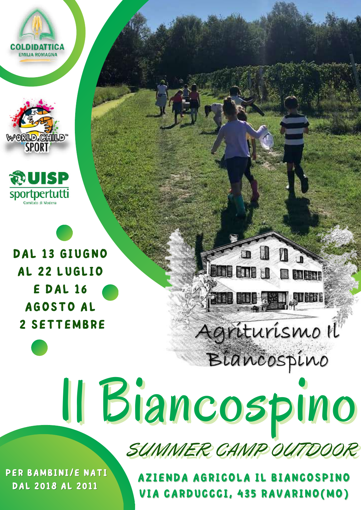**EMILIA ROMAGNA** 





DAL 13 GIUGNO AL 22 LUGLIO E DAL 16 AGOSTO AL 2 SETTEMBRE

# Il Biancospino

SUMMER CAMP OL

 $\blacksquare$ 

**The fine of the fine of the second state** 

Agriturismo Il

Biancospino

**R** tound

**Lette ette und** 

PER BAMBINI/E NATI DAL 2018 AL 2011

AZIENDA AGRICOLA IL BIANCOSPINO VIA CARDUCCCI, 435 RAVARINO(MO)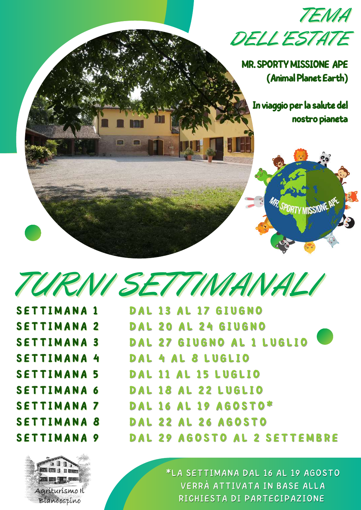

*TURNI SETTIMANALI*

|  |  |  |  | <b>SETTIMANA 1</b> |  |
|--|--|--|--|--------------------|--|
|  |  |  |  | <b>SETTIMANA 2</b> |  |
|  |  |  |  | <b>SETTIMANA 3</b> |  |
|  |  |  |  | <b>SETTIMANA 4</b> |  |
|  |  |  |  | <b>SETTIMANA 5</b> |  |
|  |  |  |  | <b>SETTIMANA 6</b> |  |
|  |  |  |  | <b>SETTIMANA 7</b> |  |
|  |  |  |  | <b>SETTIMANA 8</b> |  |
|  |  |  |  | <b>SETTIMANA 9</b> |  |

**ETHE LAT AN ENTERN COLOR OF BUT DIRECT** Agriturismo Il Biancospino

SETTIMANA 1 DAL 13 AL 17 GIUGNO<br>SETTIMANA 2 DAL 13 AL 17 GIUGNO **D A L 1 3 A L 1 7 G I U G N O D A L 2 0 A L 2 4 G I U G N O D A L 2 7 G I U G N O A L 1 L U G L I O D A L 4 A L 8 L U G L I O D A L 1 1 A L 1 5 L U G L I O D A L 1 8 A L 2 2 L U G L I O D A L 1 6 A L 1 9 A G O S T O \* D A L 2 2 A L 2 6 A G O S T O D A L 2 9 A G O S T O A L 2 S E T T EMB R E**

> \*LA SETTIMANA DAL 16 AL 19 AGOSTO VERRÀ ATTIVATA IN BASE ALLA RICHIESTA DI PARTECIPAZIONE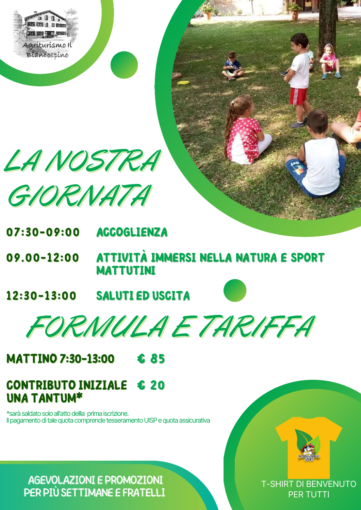

LA NOSTRA

GIORNATA

- **ACCOGLIENZA**  $07:30 - 09:00$
- ATTIVITÀ IMMERSI NELLA NATURA E SPORT  $09.00 - 12:00$ **MATTUTINI**
- **SALUTI ED USCITA**  $12:30 - 13:00$

FORMULA E TARIFFA

**MATTINO 7:30-13:00** £ 85

#### **CONTRIBUTO INIZIALE** € 20 **UNA TANTUM\***

\*sarà saldato solo all'atto dellla prima iscrizione. Il pagamento di tale quota comprende tesseramento UISP e quota assicurativa

**T-SHIRT DI BENVENUTO PER TUTTI** 

**AGEVOLAZIONI E PROMOZIONI** PER PIÙ SETTIMANE E FRATELLI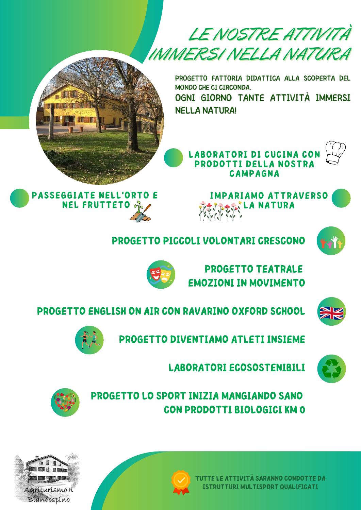*LE NOSTRE ATTIVITÀ IMMERSI NELLA NATURA*

> PROGETTO FATTORIA DIDATTICA ALLA SCOPERTA DEL MONDO CHE CI CIRCONDA. OGNI GIORNO TANTE ATTIVITÀ IMMERSI NELLA NATURA!



**LABORATORI DI CUCINA CO PRODOTTI DELLA NOSTRA CAMPAGNA**





**PROGETTO PICCOLI VOLONTARI CRESCONO**

**PROGETTO TEATRALE EMOZIONI IN MOVIMENTO**





**PROGETTO ENGLISH ON AIR CON RAVARINO OXFORD SCHOOL**





**LABORATORI ECOSOSTENIBILI**

**PROGETTO LO SPORT INIZIA MANGIANDO SANO CON PRODOTTI BIOLOGICI KM 0**